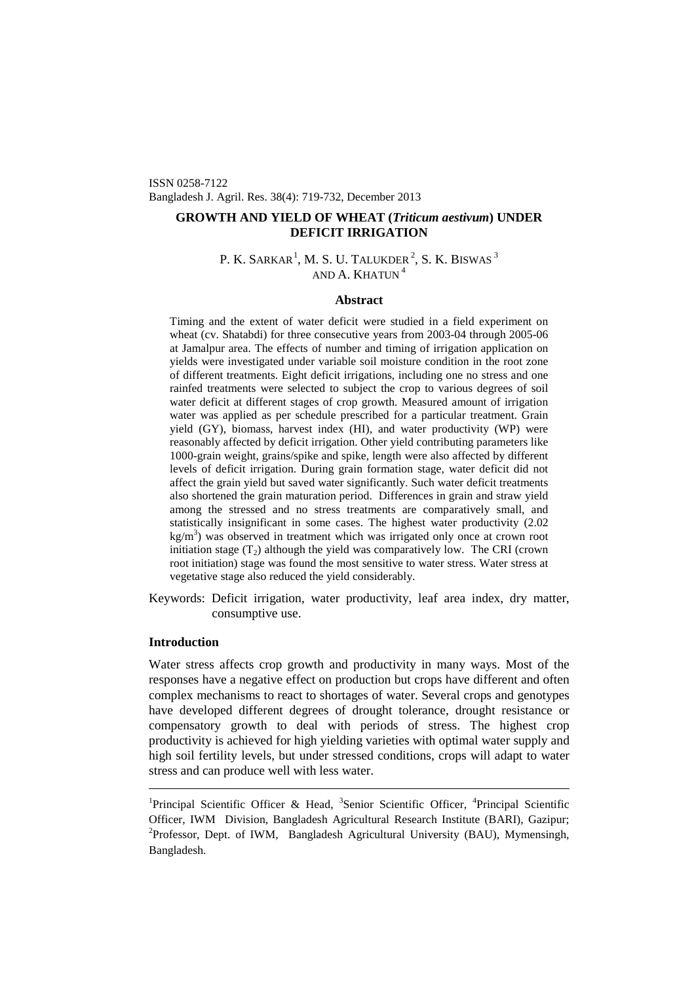ISSN 0258-7122 Bangladesh J. Agril. Res. 38(4): 719-732, December 2013

# **GROWTH AND YIELD OF WHEAT (***Triticum aestivum***) UNDER DEFICIT IRRIGATION**

# P. K. SARKAR $^1$  $^1$ , M. S. U. Talukder $^2$ , S. K. Biswas  $^3$ AND A. KHATUN <sup>4</sup>

## **Abstract**

Timing and the extent of water deficit were studied in a field experiment on wheat (cv. Shatabdi) for three consecutive years from 2003-04 through 2005-06 at Jamalpur area. The effects of number and timing of irrigation application on yields were investigated under variable soil moisture condition in the root zone of different treatments. Eight deficit irrigations, including one no stress and one rainfed treatments were selected to subject the crop to various degrees of soil water deficit at different stages of crop growth. Measured amount of irrigation water was applied as per schedule prescribed for a particular treatment. Grain yield (GY), biomass, harvest index (HI), and water productivity (WP) were reasonably affected by deficit irrigation. Other yield contributing parameters like 1000-grain weight, grains/spike and spike, length were also affected by different levels of deficit irrigation. During grain formation stage, water deficit did not affect the grain yield but saved water significantly. Such water deficit treatments also shortened the grain maturation period. Differences in grain and straw yield among the stressed and no stress treatments are comparatively small, and statistically insignificant in some cases. The highest water productivity (2.02  $kg/m<sup>3</sup>$ ) was observed in treatment which was irrigated only once at crown root initiation stage  $(T_2)$  although the yield was comparatively low. The CRI (crown root initiation) stage was found the most sensitive to water stress. Water stress at vegetative stage also reduced the yield considerably.

Keywords: Deficit irrigation, water productivity, leaf area index, dry matter, consumptive use.

## **Introduction**

Water stress affects crop growth and productivity in many ways. Most of the responses have a negative effect on production but crops have different and often complex mechanisms to react to shortages of water. Several crops and genotypes have developed different degrees of drought tolerance, drought resistance or compensatory growth to deal with periods of stress. The highest crop productivity is achieved for high yielding varieties with optimal water supply and high soil fertility levels, but under stressed conditions, crops will adapt to water stress and can produce well with less water.

<span id="page-0-0"></span><sup>&</sup>lt;sup>1</sup>Principal Scientific Officer & Head, <sup>3</sup>Senior Scientific Officer, <sup>4</sup>Principal Scientific Officer, IWM Division, Bangladesh Agricultural Research Institute (BARI), Gazipur; 2 <sup>2</sup>Professor, Dept. of IWM, Bangladesh Agricultural University (BAU), Mymensingh, Bangladesh.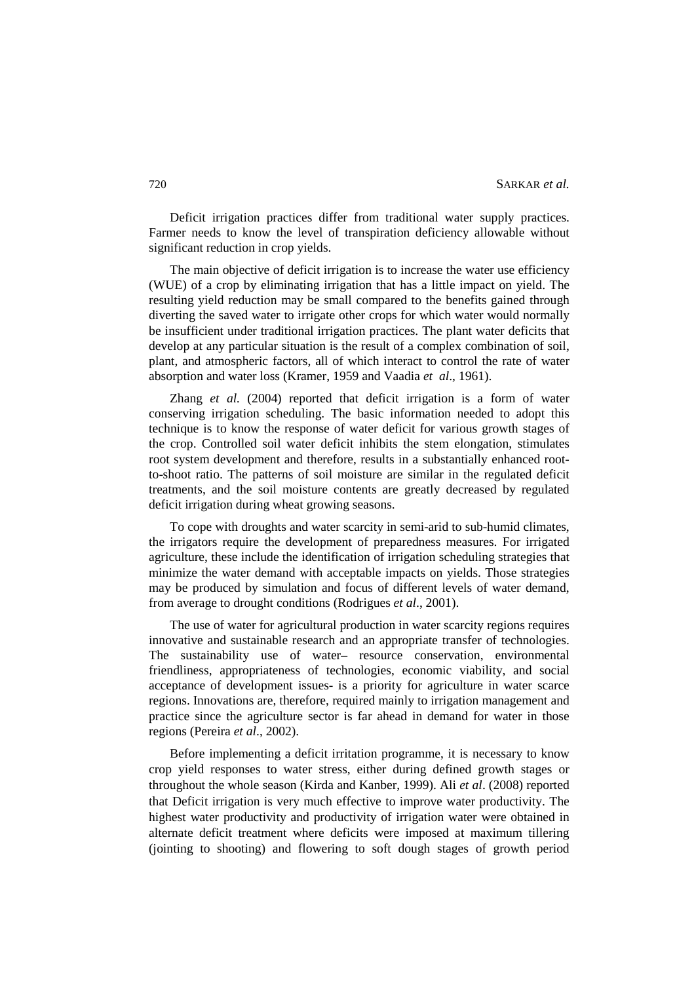Deficit irrigation practices differ from traditional water supply practices. Farmer needs to know the level of transpiration deficiency allowable without significant reduction in crop yields.

The main objective of deficit irrigation is to increase the water use efficiency (WUE) of a crop by eliminating irrigation that has a little impact on yield. The resulting yield reduction may be small compared to the benefits gained through diverting the saved water to irrigate other crops for which water would normally be insufficient under traditional irrigation practices. The plant water deficits that develop at any particular situation is the result of a complex combination of soil, plant, and atmospheric factors, all of which interact to control the rate of water absorption and water loss (Kramer, 1959 and Vaadia *et al*., 1961).

Zhang *et al.* (2004) reported that deficit irrigation is a form of water conserving irrigation scheduling. The basic information needed to adopt this technique is to know the response of water deficit for various growth stages of the crop. Controlled soil water deficit inhibits the stem elongation, stimulates root system development and therefore, results in a substantially enhanced rootto-shoot ratio. The patterns of soil moisture are similar in the regulated deficit treatments, and the soil moisture contents are greatly decreased by regulated deficit irrigation during wheat growing seasons.

To cope with droughts and water scarcity in semi-arid to sub-humid climates, the irrigators require the development of preparedness measures. For irrigated agriculture, these include the identification of irrigation scheduling strategies that minimize the water demand with acceptable impacts on yields. Those strategies may be produced by simulation and focus of different levels of water demand, from average to drought conditions (Rodrigues *et al*., 2001).

The use of water for agricultural production in water scarcity regions requires innovative and sustainable research and an appropriate transfer of technologies. The sustainability use of water– resource conservation, environmental friendliness, appropriateness of technologies, economic viability, and social acceptance of development issues- is a priority for agriculture in water scarce regions. Innovations are, therefore, required mainly to irrigation management and practice since the agriculture sector is far ahead in demand for water in those regions (Pereira *et al*., 2002).

Before implementing a deficit irritation programme, it is necessary to know crop yield responses to water stress, either during defined growth stages or throughout the whole season (Kirda and Kanber, 1999). Ali *et al*. (2008) reported that Deficit irrigation is very much effective to improve water productivity. The highest water productivity and productivity of irrigation water were obtained in alternate deficit treatment where deficits were imposed at maximum tillering (jointing to shooting) and flowering to soft dough stages of growth period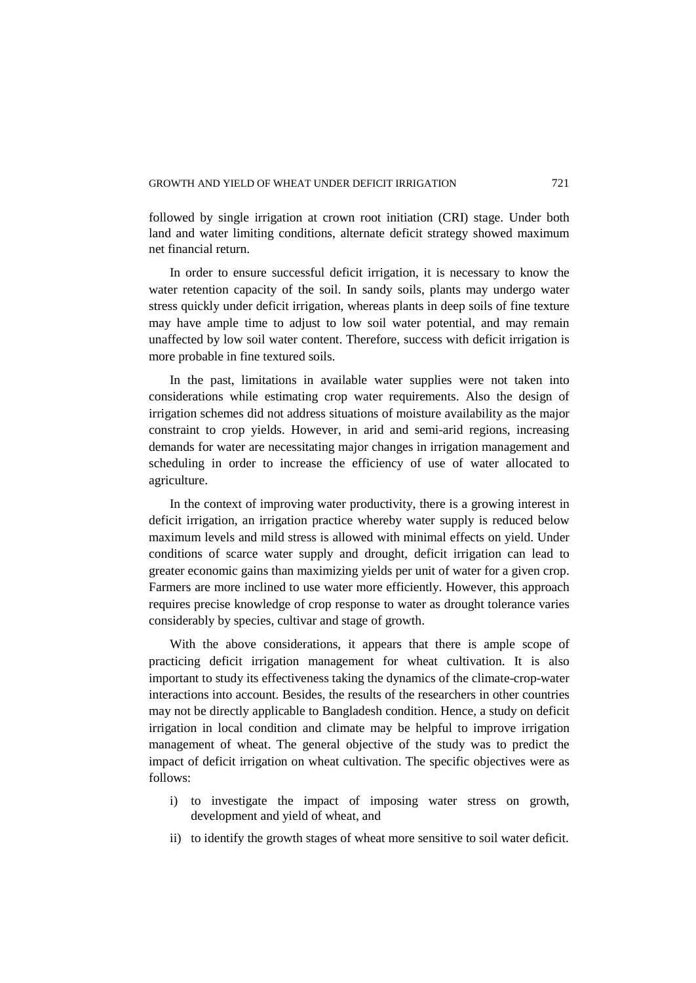followed by single irrigation at crown root initiation (CRI) stage. Under both land and water limiting conditions, alternate deficit strategy showed maximum net financial return.

In order to ensure successful deficit irrigation, it is necessary to know the water retention capacity of the soil. In sandy soils, plants may undergo water stress quickly under deficit irrigation, whereas plants in deep soils of fine texture may have ample time to adjust to low soil water potential, and may remain unaffected by low soil water content. Therefore, success with deficit irrigation is more probable in fine textured soils.

In the past, limitations in available water supplies were not taken into considerations while estimating crop water requirements. Also the design of irrigation schemes did not address situations of moisture availability as the major constraint to crop yields. However, in arid and semi-arid regions, increasing demands for water are necessitating major changes in irrigation management and scheduling in order to increase the efficiency of use of water allocated to agriculture.

In the context of improving water productivity, there is a growing interest in deficit irrigation, an irrigation practice whereby water supply is reduced below maximum levels and mild stress is allowed with minimal effects on yield. Under conditions of scarce water supply and drought, deficit irrigation can lead to greater economic gains than maximizing yields per unit of water for a given crop. Farmers are more inclined to use water more efficiently. However, this approach requires precise knowledge of crop response to water as drought tolerance varies considerably by species, cultivar and stage of growth.

With the above considerations, it appears that there is ample scope of practicing deficit irrigation management for wheat cultivation. It is also important to study its effectiveness taking the dynamics of the climate-crop-water interactions into account. Besides, the results of the researchers in other countries may not be directly applicable to Bangladesh condition. Hence, a study on deficit irrigation in local condition and climate may be helpful to improve irrigation management of wheat. The general objective of the study was to predict the impact of deficit irrigation on wheat cultivation. The specific objectives were as follows:

- i) to investigate the impact of imposing water stress on growth, development and yield of wheat, and
- ii) to identify the growth stages of wheat more sensitive to soil water deficit.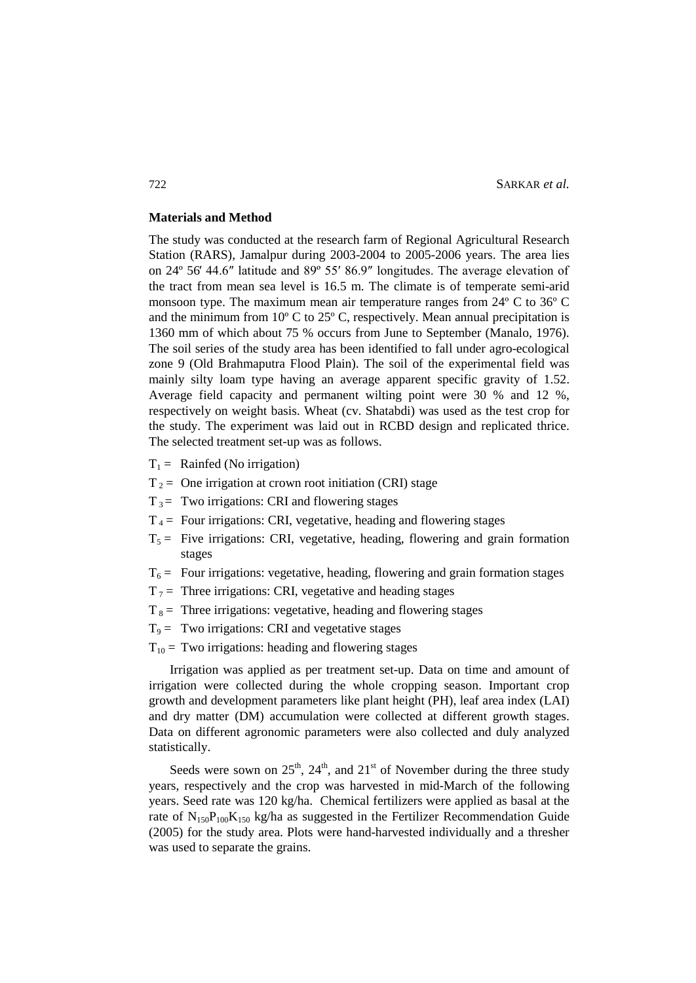#### **Materials and Method**

The study was conducted at the research farm of Regional Agricultural Research Station (RARS), Jamalpur during 2003-2004 to 2005-2006 years. The area lies on 24º 56′ 44.6″ latitude and 89º 55′ 86.9″ longitudes. The average elevation of the tract from mean sea level is 16.5 m. The climate is of temperate semi-arid monsoon type. The maximum mean air temperature ranges from 24º C to 36º C and the minimum from  $10^{\circ}$  C to  $25^{\circ}$  C, respectively. Mean annual precipitation is 1360 mm of which about 75 % occurs from June to September (Manalo, 1976). The soil series of the study area has been identified to fall under agro-ecological zone 9 (Old Brahmaputra Flood Plain). The soil of the experimental field was mainly silty loam type having an average apparent specific gravity of 1.52. Average field capacity and permanent wilting point were 30 % and 12 %, respectively on weight basis. Wheat (cv. Shatabdi) was used as the test crop for the study. The experiment was laid out in RCBD design and replicated thrice. The selected treatment set-up was as follows.

- $T_1$  = Rainfed (No irrigation)
- $T_2$  = One irrigation at crown root initiation (CRI) stage
- $T_3$  = Two irrigations: CRI and flowering stages
- $T<sub>4</sub>$  = Four irrigations: CRI, vegetative, heading and flowering stages
- $T<sub>5</sub>$  = Five irrigations: CRI, vegetative, heading, flowering and grain formation stages
- $T_6$  = Four irrigations: vegetative, heading, flowering and grain formation stages
- $T_7$  = Three irrigations: CRI, vegetative and heading stages
- $T_8$  = Three irrigations: vegetative, heading and flowering stages
- $T_9$  = Two irrigations: CRI and vegetative stages
- $T_{10}$  = Two irrigations: heading and flowering stages

Irrigation was applied as per treatment set-up. Data on time and amount of irrigation were collected during the whole cropping season. Important crop growth and development parameters like plant height (PH), leaf area index (LAI) and dry matter (DM) accumulation were collected at different growth stages. Data on different agronomic parameters were also collected and duly analyzed statistically.

Seeds were sown on  $25<sup>th</sup>$ ,  $24<sup>th</sup>$ , and  $21<sup>st</sup>$  of November during the three study years, respectively and the crop was harvested in mid-March of the following years. Seed rate was 120 kg/ha. Chemical fertilizers were applied as basal at the rate of  $N_{150}P_{100}K_{150}$  kg/ha as suggested in the Fertilizer Recommendation Guide (2005) for the study area. Plots were hand-harvested individually and a thresher was used to separate the grains.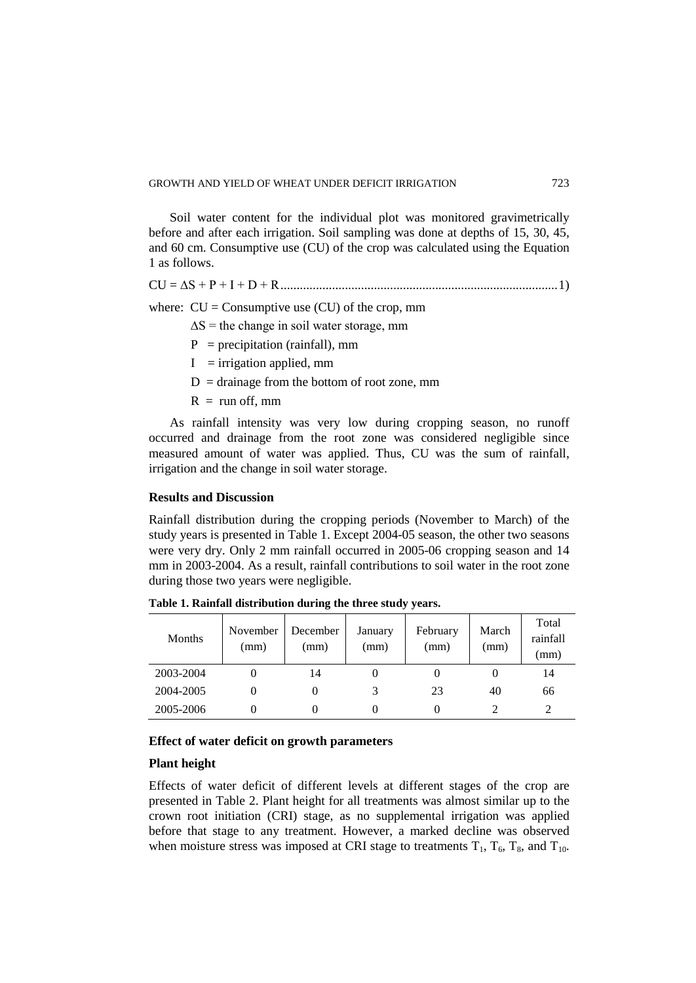Soil water content for the individual plot was monitored gravimetrically before and after each irrigation. Soil sampling was done at depths of 15, 30, 45, and 60 cm. Consumptive use (CU) of the crop was calculated using the Equation 1 as follows.

CU = ∆S + P + I + D + R......................................................................................1)

where:  $CU =$  Consumptive use  $(CU)$  of the crop, mm

 $\Delta S$  = the change in soil water storage, mm

- $P =$  precipitation (rainfall), mm
- $I =$ irrigation applied, mm
- $D = \text{drainage from the bottom of root zone, mm}$
- $R = run off. mm$

As rainfall intensity was very low during cropping season, no runoff occurred and drainage from the root zone was considered negligible since measured amount of water was applied. Thus, CU was the sum of rainfall, irrigation and the change in soil water storage.

## **Results and Discussion**

Rainfall distribution during the cropping periods (November to March) of the study years is presented in Table 1. Except 2004-05 season, the other two seasons were very dry. Only 2 mm rainfall occurred in 2005-06 cropping season and 14 mm in 2003-2004. As a result, rainfall contributions to soil water in the root zone during those two years were negligible.

| Months    | November<br>(mm) | December<br>(mm) | January<br>(mm) | February<br>(mm) | March<br>(mm) | Total<br>rainfall<br>(mm) |
|-----------|------------------|------------------|-----------------|------------------|---------------|---------------------------|
| 2003-2004 | 0                | 14               |                 |                  |               | 14                        |
| 2004-2005 | 0                |                  |                 | 23               | 40            | 66                        |
| 2005-2006 | 0                |                  |                 |                  |               |                           |

**Table 1. Rainfall distribution during the three study years.**

# **Effect of water deficit on growth parameters**

## **Plant height**

Effects of water deficit of different levels at different stages of the crop are presented in Table 2. Plant height for all treatments was almost similar up to the crown root initiation (CRI) stage, as no supplemental irrigation was applied before that stage to any treatment. However, a marked decline was observed when moisture stress was imposed at CRI stage to treatments  $T_1$ ,  $T_6$ ,  $T_8$ , and  $T_{10}$ .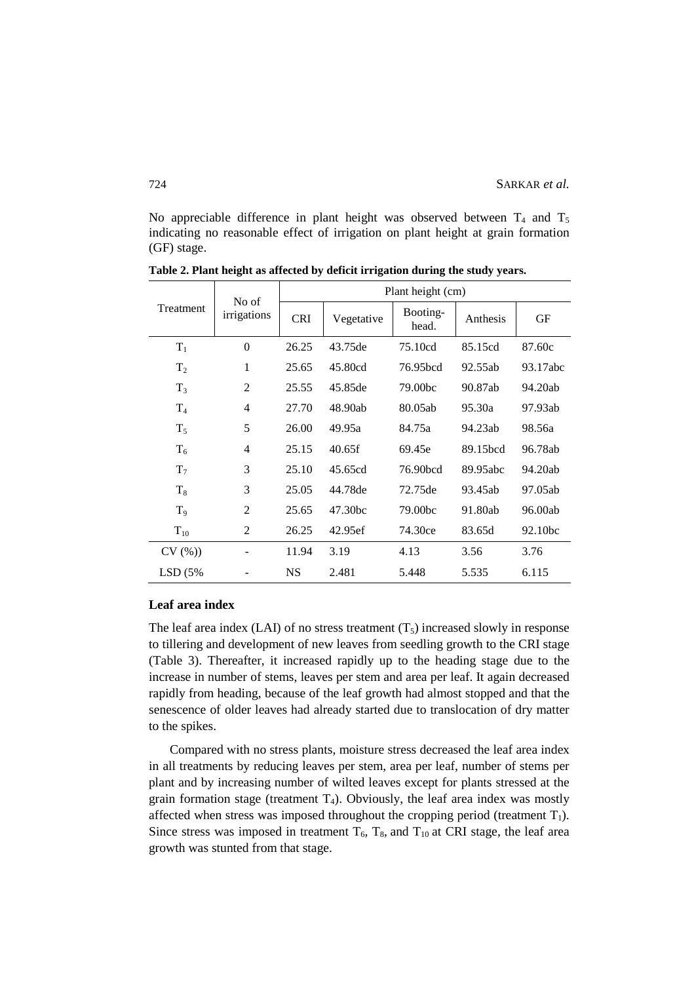No appreciable difference in plant height was observed between  $T_4$  and  $T_5$ indicating no reasonable effect of irrigation on plant height at grain formation (GF) stage.

|                | No of<br>irrigations | Plant height (cm) |            |                   |          |          |  |  |
|----------------|----------------------|-------------------|------------|-------------------|----------|----------|--|--|
| Treatment      |                      | <b>CRI</b>        | Vegetative | Booting-<br>head. | Anthesis | GF       |  |  |
| $T_1$          | $\overline{0}$       | 26.25             | 43.75de    | 75.10cd           | 85.15cd  | 87.60c   |  |  |
| T <sub>2</sub> | 1                    | 25.65             | 45.80cd    | 76.95bcd          | 92.55ab  | 93.17abc |  |  |
| $T_3$          | $\overline{2}$       | 25.55             | 45.85de    | 79.00bc           | 90.87ab  | 94.20ab  |  |  |
| T <sub>4</sub> | 4                    | 27.70             | 48.90ab    | 80.05ab           | 95.30a   | 97.93ab  |  |  |
| $T_5$          | 5                    | 26.00             | 49.95a     | 84.75a            | 94.23ab  | 98.56a   |  |  |
| $T_6$          | 4                    | 25.15             | 40.65f     | 69.45e            | 89.15bcd | 96.78ab  |  |  |
| $T_7$          | 3                    | 25.10             | 45.65cd    | 76.90bcd          | 89.95abc | 94.20ab  |  |  |
| $T_8$          | 3                    | 25.05             | 44.78de    | 72.75de           | 93.45ab  | 97.05ab  |  |  |
| T <sub>9</sub> | $\overline{2}$       | 25.65             | 47.30bc    | 79.00bc           | 91.80ab  | 96.00ab  |  |  |
| $T_{10}$       | 2                    | 26.25             | 42.95ef    | 74.30ce           | 83.65d   | 92.10bc  |  |  |
| CV(%)          |                      | 11.94             | 3.19       | 4.13              | 3.56     | 3.76     |  |  |
| LSD(5%         |                      | <b>NS</b>         | 2.481      | 5.448             | 5.535    | 6.115    |  |  |

**Table 2. Plant height as affected by deficit irrigation during the study years.**

### **Leaf area index**

The leaf area index (LAI) of no stress treatment  $(T_5)$  increased slowly in response to tillering and development of new leaves from seedling growth to the CRI stage (Table 3). Thereafter, it increased rapidly up to the heading stage due to the increase in number of stems, leaves per stem and area per leaf. It again decreased rapidly from heading, because of the leaf growth had almost stopped and that the senescence of older leaves had already started due to translocation of dry matter to the spikes.

Compared with no stress plants, moisture stress decreased the leaf area index in all treatments by reducing leaves per stem, area per leaf, number of stems per plant and by increasing number of wilted leaves except for plants stressed at the grain formation stage (treatment  $T_4$ ). Obviously, the leaf area index was mostly affected when stress was imposed throughout the cropping period (treatment  $T_1$ ). Since stress was imposed in treatment  $T_6$ ,  $T_8$ , and  $T_{10}$  at CRI stage, the leaf area growth was stunted from that stage.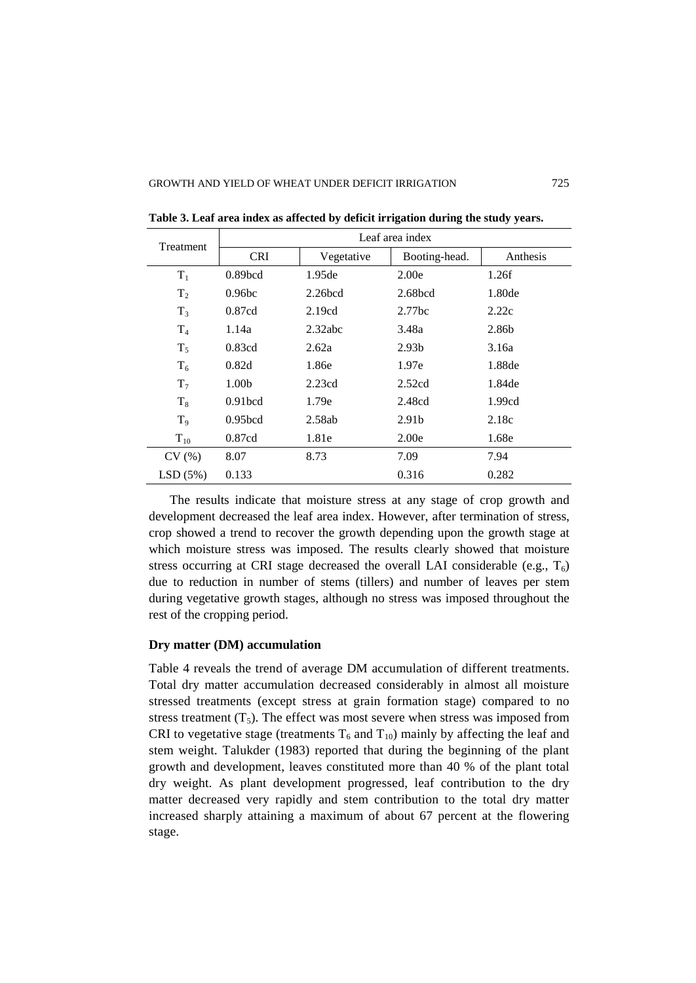| Treatment      | Leaf area index     |                     |                     |          |  |  |
|----------------|---------------------|---------------------|---------------------|----------|--|--|
|                | <b>CRI</b>          | Vegetative          | Booting-head.       | Anthesis |  |  |
| $T_1$          | 0.89 <sub>bcd</sub> | 1.95de              | 2.00e               | 1.26f    |  |  |
| T <sub>2</sub> | 0.96 <sub>b</sub>   | 2.26 <sub>bcd</sub> | 2.68 <sub>bcd</sub> | 1.80de   |  |  |
| $T_3$          | 0.87cd              | 2.19cd              | 2.77 <sub>bc</sub>  | 2.22c    |  |  |
| $\rm T_4$      | 1.14a               | 2.32abc             | 3.48a               | 2.86b    |  |  |
| $T_5$          | 0.83cd              | 2.62a               | 2.93 <sub>b</sub>   | 3.16a    |  |  |
| $T_6$          | 0.82d               | 1.86e               | 1.97e               | 1.88de   |  |  |
| $T_7$          | 1.00b               | 2.23cd              | 2.52cd              | 1.84de   |  |  |
| $T_8$          | 0.91 <sub>bcd</sub> | 1.79e               | 2.48cd              | 1.99cd   |  |  |
| T <sub>9</sub> | 0.95 <sub>bcd</sub> | 2.58ab              | 2.91 <sub>b</sub>   | 2.18c    |  |  |
| $T_{10}$       | 0.87cd              | 1.81e               | 2.00e               | 1.68e    |  |  |
| CV(%)          | 8.07                | 8.73                | 7.09                | 7.94     |  |  |
| LSD(5%)        | 0.133               |                     | 0.316               | 0.282    |  |  |

**Table 3. Leaf area index as affected by deficit irrigation during the study years.**

The results indicate that moisture stress at any stage of crop growth and development decreased the leaf area index. However, after termination of stress, crop showed a trend to recover the growth depending upon the growth stage at which moisture stress was imposed. The results clearly showed that moisture stress occurring at CRI stage decreased the overall LAI considerable (e.g.,  $T_6$ ) due to reduction in number of stems (tillers) and number of leaves per stem during vegetative growth stages, although no stress was imposed throughout the rest of the cropping period.

#### **Dry matter (DM) accumulation**

Table 4 reveals the trend of average DM accumulation of different treatments. Total dry matter accumulation decreased considerably in almost all moisture stressed treatments (except stress at grain formation stage) compared to no stress treatment  $(T_5)$ . The effect was most severe when stress was imposed from CRI to vegetative stage (treatments  $T_6$  and  $T_{10}$ ) mainly by affecting the leaf and stem weight. Talukder (1983) reported that during the beginning of the plant growth and development, leaves constituted more than 40 % of the plant total dry weight. As plant development progressed, leaf contribution to the dry matter decreased very rapidly and stem contribution to the total dry matter increased sharply attaining a maximum of about 67 percent at the flowering stage.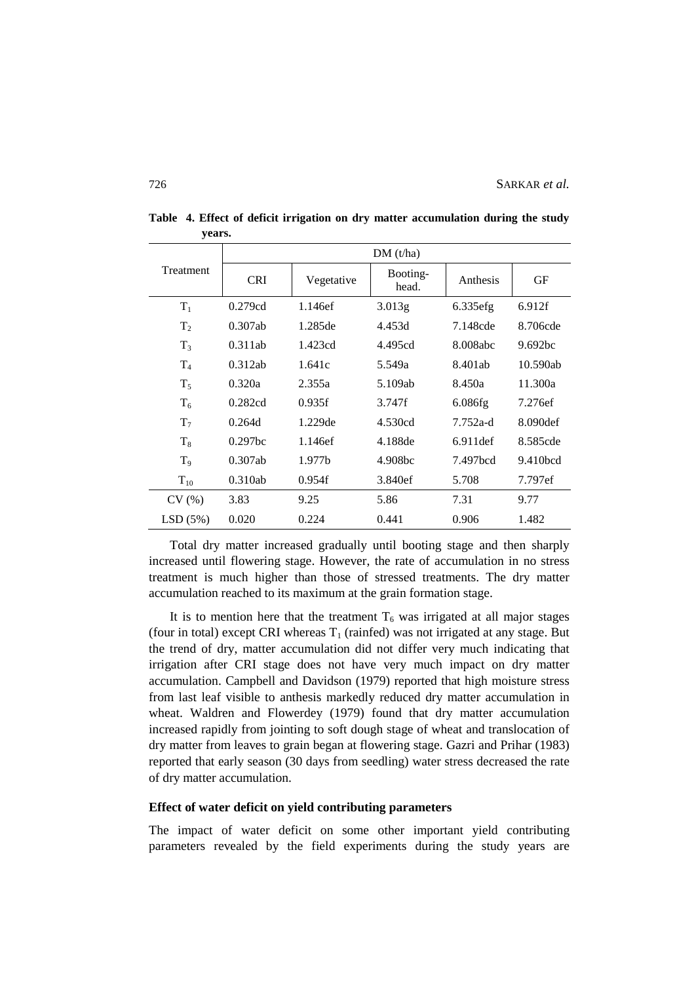| усаі э.        |            |            |                    |             |                     |  |  |  |
|----------------|------------|------------|--------------------|-------------|---------------------|--|--|--|
|                | DM(t/ha)   |            |                    |             |                     |  |  |  |
| Treatment      | <b>CRI</b> | Vegetative | Booting-<br>head.  | Anthesis    | GF                  |  |  |  |
| $T_1$          | 0.279cd    | 1.146ef    | 3.013 <sub>g</sub> | $6.335$ efg | 6.912f              |  |  |  |
| T <sub>2</sub> | 0.307ab    | 1.285de    | 4.453d             | 7.148cde    | 8.706cde            |  |  |  |
| $T_3$          | 0.311ab    | 1.423cd    | 4.495cd            | 8.008abc    | 9.692 <sub>bc</sub> |  |  |  |
| T <sub>4</sub> | 0.312ab    | 1.641c     | 5.549a             | 8.401ab     | 10.590ab            |  |  |  |
| $T_5$          | 0.320a     | 2.355a     | 5.109ab            | 8.450a      | 11.300a             |  |  |  |
| $T_6$          | 0.282cd    | 0.935f     | 3.747f             | 6.086fg     | 7.276ef             |  |  |  |
| $T_7$          | 0.264d     | 1.229de    | 4.530cd            | $7.752a-d$  | 8.090def            |  |  |  |
| $T_8$          | 0.297bc    | 1.146ef    | 4.188de            | $6.911$ def | 8.585cde            |  |  |  |
| T <sub>9</sub> | 0.307ab    | 1.977b     | 4.908bc            | 7.497bcd    | 9.410bcd            |  |  |  |
| $T_{10}$       | 0.310ab    | 0.954f     | 3.840ef            | 5.708       | 7.797ef             |  |  |  |
| CV(%)          | 3.83       | 9.25       | 5.86               | 7.31        | 9.77                |  |  |  |
| LSD(5%)        | 0.020      | 0.224      | 0.441              | 0.906       | 1.482               |  |  |  |

**Table 4. Effect of deficit irrigation on dry matter accumulation during the study years.**

Total dry matter increased gradually until booting stage and then sharply increased until flowering stage. However, the rate of accumulation in no stress treatment is much higher than those of stressed treatments. The dry matter accumulation reached to its maximum at the grain formation stage.

It is to mention here that the treatment  $T_6$  was irrigated at all major stages (four in total) except CRI whereas  $T_1$  (rainfed) was not irrigated at any stage. But the trend of dry, matter accumulation did not differ very much indicating that irrigation after CRI stage does not have very much impact on dry matter accumulation. Campbell and Davidson (1979) reported that high moisture stress from last leaf visible to anthesis markedly reduced dry matter accumulation in wheat. Waldren and Flowerdey (1979) found that dry matter accumulation increased rapidly from jointing to soft dough stage of wheat and translocation of dry matter from leaves to grain began at flowering stage. Gazri and Prihar (1983) reported that early season (30 days from seedling) water stress decreased the rate of dry matter accumulation.

### **Effect of water deficit on yield contributing parameters**

The impact of water deficit on some other important yield contributing parameters revealed by the field experiments during the study years are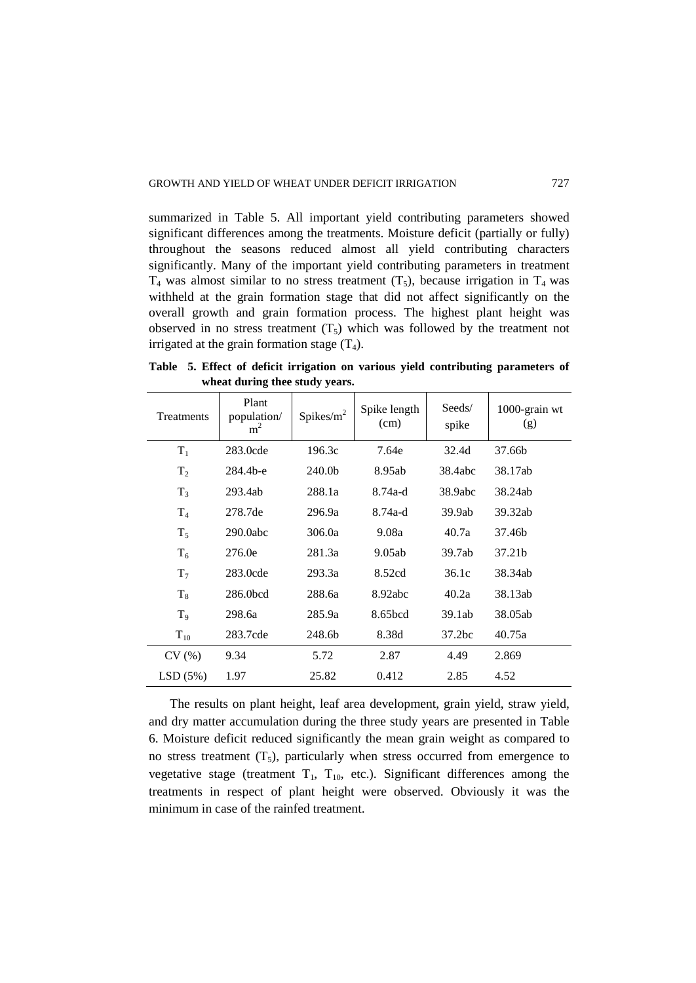summarized in Table 5. All important yield contributing parameters showed significant differences among the treatments. Moisture deficit (partially or fully) throughout the seasons reduced almost all yield contributing characters significantly. Many of the important yield contributing parameters in treatment  $T_4$  was almost similar to no stress treatment  $(T_5)$ , because irrigation in  $T_4$  was withheld at the grain formation stage that did not affect significantly on the overall growth and grain formation process. The highest plant height was observed in no stress treatment  $(T_5)$  which was followed by the treatment not irrigated at the grain formation stage  $(T_4)$ .

**Table 5. Effect of deficit irrigation on various yield contributing parameters of wheat during thee study years.**

| <b>Treatments</b> | Plant<br>population/<br>m <sup>2</sup> | Spikes/m <sup>2</sup> | Spike length<br>(cm) | Seeds/<br>spike    | 1000-grain wt<br>(g) |
|-------------------|----------------------------------------|-----------------------|----------------------|--------------------|----------------------|
| $T_1$             | 283.0cde                               | 196.3c                | 7.64e                | 32.4d              | 37.66b               |
| T <sub>2</sub>    | 284.4b-e                               | 240.0b                | 8.95ab               | 38.4abc            | 38.17ab              |
| $T_3$             | 293.4ab                                | 288.1a                | $8.74a-d$            | 38.9abc            | 38.24ab              |
| T <sub>4</sub>    | 278.7de                                | 296.9a                | $8.74a-d$            | 39.9ab             | 39.32ab              |
| $T_5$             | 290.0abc                               | 306.0a                | 9.08a                | 40.7a              | 37.46b               |
| $T_6$             | 276.0e                                 | 281.3a                | 9.05ab               | 39.7ab             | 37.21b               |
| $T_7$             | 283.0cde                               | 293.3a                | 8.52cd               | 36.1c              | 38.34ab              |
| $T_8$             | 286.0bcd                               | 288.6a                | 8.92abc              | 40.2a              | 38.13ab              |
| T <sub>9</sub>    | 298.6a                                 | 285.9a                | 8.65bcd              | 39.1ab             | 38.05ab              |
| $T_{10}$          | 283.7cde                               | 248.6b                | 8.38d                | 37.2 <sub>bc</sub> | 40.75a               |
| CV(%)             | 9.34                                   | 5.72                  | 2.87                 | 4.49               | 2.869                |
| LSD(5%)           | 1.97                                   | 25.82                 | 0.412                | 2.85               | 4.52                 |

The results on plant height, leaf area development, grain yield, straw yield, and dry matter accumulation during the three study years are presented in Table 6. Moisture deficit reduced significantly the mean grain weight as compared to no stress treatment  $(T_5)$ , particularly when stress occurred from emergence to vegetative stage (treatment  $T_1$ ,  $T_{10}$ , etc.). Significant differences among the treatments in respect of plant height were observed. Obviously it was the minimum in case of the rainfed treatment.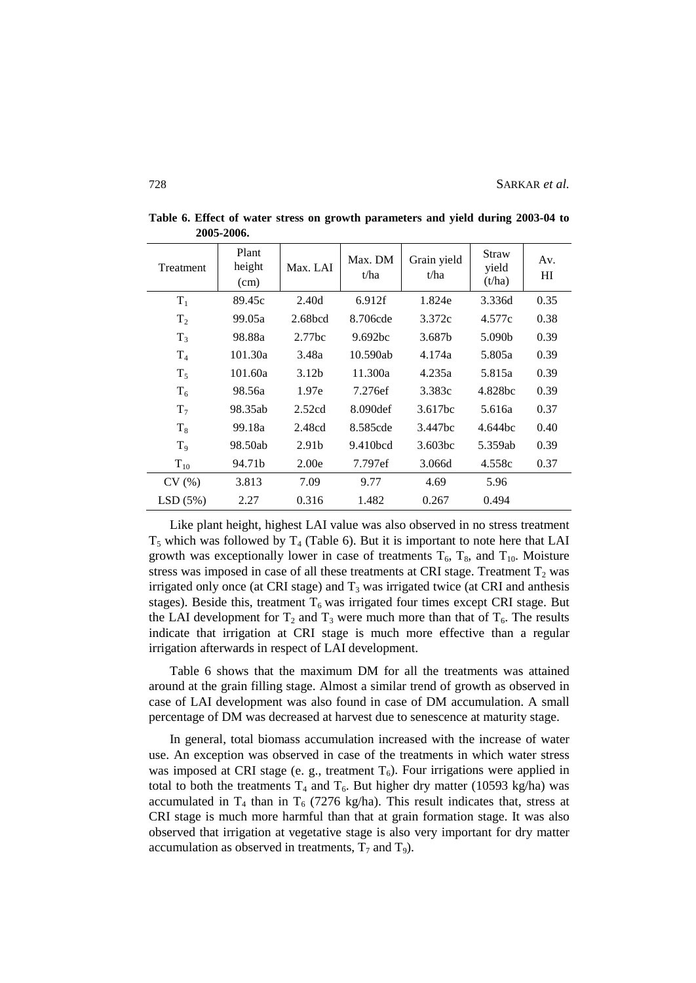| Treatment      | Plant<br>height<br>(cm) | Max. LAI            | Max. DM<br>t/ha      | Grain yield<br>t/ha | Straw<br>yield<br>(t/ha) | Av.<br>HI |
|----------------|-------------------------|---------------------|----------------------|---------------------|--------------------------|-----------|
| $T_1$          | 89.45c                  | 2.40d               | 6.912f               | 1.824e              | 3.336d                   | 0.35      |
| T <sub>2</sub> | 99.05a                  | 2.68 <sub>bcd</sub> | 8.706cde             | 3.372c              | 4.577c                   | 0.38      |
| $T_3$          | 98.88a                  | 2.77 <sub>bc</sub>  | 9.692bc              | 3.687b              | 5.090b                   | 0.39      |
| T <sub>4</sub> | 101.30a                 | 3.48a               | 10.590ab             | 4.174a              | 5.805a                   | 0.39      |
| $T_5$          | 101.60a                 | 3.12 <sub>b</sub>   | 11.300a              | 4.235a              | 5.815a                   | 0.39      |
| $T_6$          | 98.56a                  | 1.97e               | 7.276ef              | 3.383c              | 4.828bc                  | 0.39      |
| $T_7$          | 98.35ab                 | 2.52cd              | 8.090def             | 3.617bc             | 5.616a                   | 0.37      |
| $T_8$          | 99.18a                  | 2.48cd              | 8.585cde             | 3.447 <sub>bc</sub> | 4.644bc                  | 0.40      |
| T <sub>9</sub> | 98.50ab                 | 2.91 <sub>b</sub>   | 9.410 <sub>bcd</sub> | 3.603 <sub>bc</sub> | 5.359ab                  | 0.39      |
| $T_{10}$       | 94.71b                  | 2.00e               | 7.797ef              | 3.066d              | 4.558c                   | 0.37      |
| CV(%)          | 3.813                   | 7.09                | 9.77                 | 4.69                | 5.96                     |           |
| LSD(5%)        | 2.27                    | 0.316               | 1.482                | 0.267               | 0.494                    |           |

**Table 6. Effect of water stress on growth parameters and yield during 2003-04 to 2005-2006.**

Like plant height, highest LAI value was also observed in no stress treatment  $T_5$  which was followed by  $T_4$  (Table 6). But it is important to note here that LAI growth was exceptionally lower in case of treatments  $T_6$ ,  $T_8$ , and  $T_{10}$ . Moisture stress was imposed in case of all these treatments at CRI stage. Treatment  $T_2$  was irrigated only once (at CRI stage) and  $T_3$  was irrigated twice (at CRI and anthesis stages). Beside this, treatment  $T_6$  was irrigated four times except CRI stage. But the LAI development for  $T_2$  and  $T_3$  were much more than that of  $T_6$ . The results indicate that irrigation at CRI stage is much more effective than a regular irrigation afterwards in respect of LAI development.

Table 6 shows that the maximum DM for all the treatments was attained around at the grain filling stage. Almost a similar trend of growth as observed in case of LAI development was also found in case of DM accumulation. A small percentage of DM was decreased at harvest due to senescence at maturity stage.

In general, total biomass accumulation increased with the increase of water use. An exception was observed in case of the treatments in which water stress was imposed at CRI stage (e. g., treatment  $T_6$ ). Four irrigations were applied in total to both the treatments  $T_4$  and  $T_6$ . But higher dry matter (10593 kg/ha) was accumulated in  $T_4$  than in  $T_6$  (7276 kg/ha). This result indicates that, stress at CRI stage is much more harmful than that at grain formation stage. It was also observed that irrigation at vegetative stage is also very important for dry matter accumulation as observed in treatments,  $T_7$  and  $T_9$ ).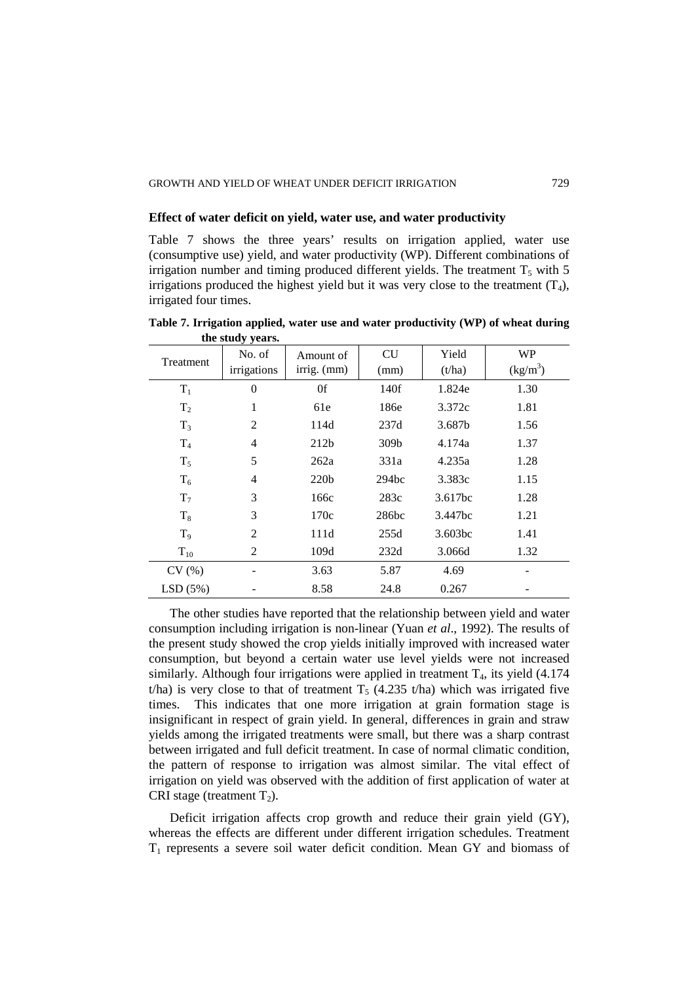#### **Effect of water deficit on yield, water use, and water productivity**

Table 7 shows the three years' results on irrigation applied, water use (consumptive use) yield, and water productivity (WP). Different combinations of irrigation number and timing produced different yields. The treatment  $T_5$  with 5 irrigations produced the highest yield but it was very close to the treatment  $(T_4)$ , irrigated four times.

**Table 7. Irrigation applied, water use and water productivity (WP) of wheat during the study years.**

|                | the study years.      |                          |            |                 |                         |
|----------------|-----------------------|--------------------------|------------|-----------------|-------------------------|
| Treatment      | No. of<br>irrigations | Amount of<br>irrig. (mm) | CU<br>(mm) | Yield<br>(t/ha) | <b>WP</b><br>$(kg/m^3)$ |
| $T_1$          | $\theta$              | 0f                       | 140f       | 1.824e          | 1.30                    |
|                |                       |                          |            |                 |                         |
| T <sub>2</sub> | $\mathbf{1}$          | 61e                      | 186e       | 3.372c          | 1.81                    |
| $T_3$          | 2                     | 114d                     | 237d       | 3.687b          | 1.56                    |
| T <sub>4</sub> | 4                     | 212 <sub>b</sub>         | 309b       | 4.174a          | 1.37                    |
| $T_5$          | 5                     | 262a                     | 331a       | 4.235a          | 1.28                    |
| $T_6$          | 4                     | 220 <sub>b</sub>         | 294bc      | 3.383c          | 1.15                    |
| T <sub>7</sub> | 3                     | 166c                     | 283c       | 3.617bc         | 1.28                    |
| $T_8$          | 3                     | 170c                     | 286bc      | 3.447bc         | 1.21                    |
| T <sub>9</sub> | $\overline{2}$        | 111d                     | 255d       | 3.603bc         | 1.41                    |
| $T_{10}$       | 2                     | 109d                     | 232d       | 3.066d          | 1.32                    |
| CV(%)          |                       | 3.63                     | 5.87       | 4.69            |                         |
| LSD(5%)        |                       | 8.58                     | 24.8       | 0.267           |                         |

The other studies have reported that the relationship between yield and water consumption including irrigation is non-linear (Yuan *et al*., 1992). The results of the present study showed the crop yields initially improved with increased water consumption, but beyond a certain water use level yields were not increased similarly. Although four irrigations were applied in treatment  $T_4$ , its yield (4.174) t/ha) is very close to that of treatment  $T<sub>5</sub>$  (4.235 t/ha) which was irrigated five times. This indicates that one more irrigation at grain formation stage is insignificant in respect of grain yield. In general, differences in grain and straw yields among the irrigated treatments were small, but there was a sharp contrast between irrigated and full deficit treatment. In case of normal climatic condition, the pattern of response to irrigation was almost similar. The vital effect of irrigation on yield was observed with the addition of first application of water at CRI stage (treatment  $T_2$ ).

Deficit irrigation affects crop growth and reduce their grain yield (GY), whereas the effects are different under different irrigation schedules. Treatment  $T_1$  represents a severe soil water deficit condition. Mean GY and biomass of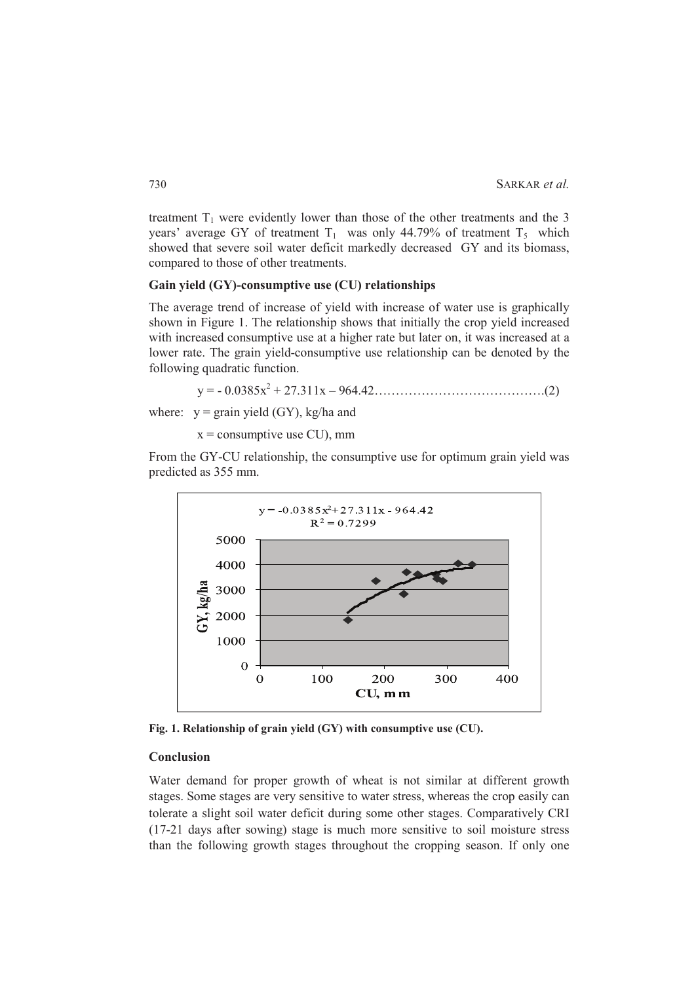treatment  $T_1$  were evidently lower than those of the other treatments and the 3 years' average GY of treatment  $T_1$  was only 44.79% of treatment  $T_5$  which showed that severe soil water deficit markedly decreased GY and its biomass, compared to those of other treatments.

#### **Gain yield (GY)-consumptive use (CU) relationships**

The average trend of increase of yield with increase of water use is graphically shown in Figure 1. The relationship shows that initially the crop yield increased with increased consumptive use at a higher rate but later on, it was increased at a lower rate. The grain yield-consumptive use relationship can be denoted by the following quadratic function.

 $y = -0.0385x^{2} + 27.311x - 964.42...$ 

where:  $y = \text{grain yield (GY)}$ , kg/ha and

 $x =$  consumptive use CU), mm

From the GY-CU relationship, the consumptive use for optimum grain yield was predicted as 355 mm.



**Fig. 1. Relationship of grain yield (GY) with consumptive use (CU).**

#### **Conclusion**

Water demand for proper growth of wheat is not similar at different growth stages. Some stages are very sensitive to water stress, whereas the crop easily can tolerate a slight soil water deficit during some other stages. Comparatively CRI (17-21 days after sowing) stage is much more sensitive to soil moisture stress than the following growth stages throughout the cropping season. If only one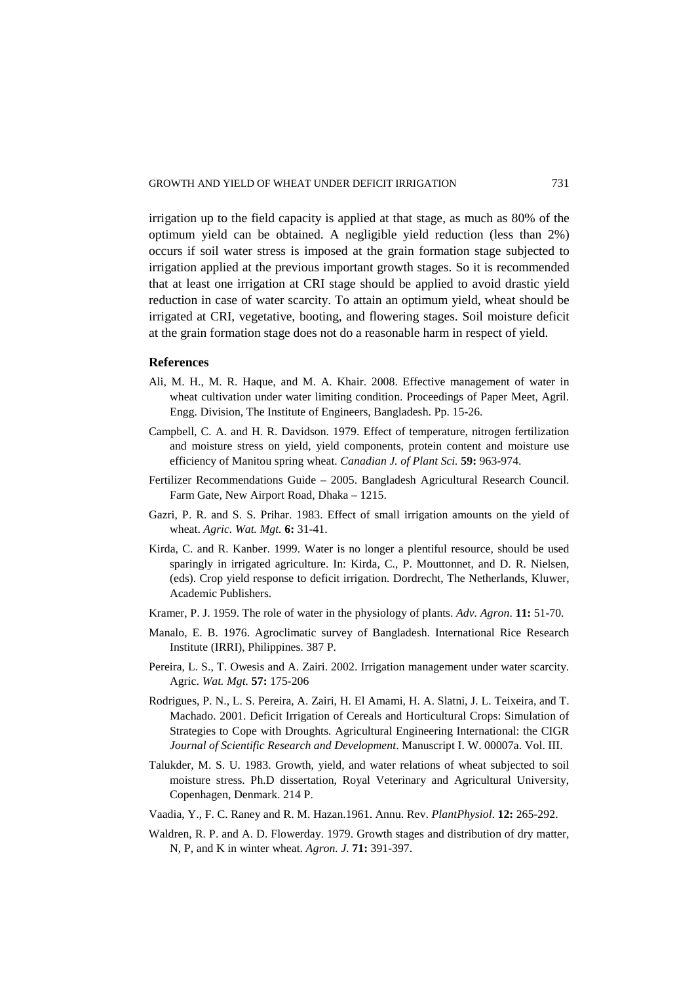irrigation up to the field capacity is applied at that stage, as much as 80% of the optimum yield can be obtained. A negligible yield reduction (less than 2%) occurs if soil water stress is imposed at the grain formation stage subjected to irrigation applied at the previous important growth stages. So it is recommended that at least one irrigation at CRI stage should be applied to avoid drastic yield reduction in case of water scarcity. To attain an optimum yield, wheat should be irrigated at CRI, vegetative, booting, and flowering stages. Soil moisture deficit at the grain formation stage does not do a reasonable harm in respect of yield.

#### **References**

- Ali, M. H., M. R. Haque, and M. A. Khair. 2008. Effective management of water in wheat cultivation under water limiting condition. Proceedings of Paper Meet, Agril. Engg. Division, The Institute of Engineers, Bangladesh. Pp. 15-26.
- Campbell, C. A. and H. R. Davidson. 1979. Effect of temperature, nitrogen fertilization and moisture stress on yield, yield components, protein content and moisture use efficiency of Manitou spring wheat. *Canadian J. of Plant Sci.* **59:** 963-974.
- Fertilizer Recommendations Guide 2005. Bangladesh Agricultural Research Council. Farm Gate, New Airport Road, Dhaka – 1215.
- Gazri, P. R. and S. S. Prihar. 1983. Effect of small irrigation amounts on the yield of wheat. *Agric. Wat. Mgt.* **6:** 31-41.
- Kirda, C. and R. Kanber. 1999. Water is no longer a plentiful resource, should be used sparingly in irrigated agriculture. In: Kirda, C., P. Mouttonnet, and D. R. Nielsen, (eds). Crop yield response to deficit irrigation. Dordrecht, The Netherlands, Kluwer, Academic Publishers.
- Kramer, P. J. 1959. The role of water in the physiology of plants. *Adv. Agron*. **11:** 51-70.
- Manalo, E. B. 1976. Agroclimatic survey of Bangladesh. International Rice Research Institute (IRRI), Philippines. 387 P.
- Pereira, L. S., T. Owesis and A. Zairi. 2002. Irrigation management under water scarcity. Agric. *Wat. Mgt.* **57:** 175-206
- Rodrigues, P. N., L. S. Pereira, A. Zairi, H. El Amami, H. A. Slatni, J. L. Teixeira, and T. Machado. 2001. Deficit Irrigation of Cereals and Horticultural Crops: Simulation of Strategies to Cope with Droughts. Agricultural Engineering International: the CIGR *Journal of Scientific Research and Development*. Manuscript I. W. 00007a. Vol. III.
- Talukder, M. S. U. 1983. Growth, yield, and water relations of wheat subjected to soil moisture stress. Ph.D dissertation, Royal Veterinary and Agricultural University, Copenhagen, Denmark. 214 P.
- Vaadia, Y., F. C. Raney and R. M. Hazan.1961. Annu. Rev. *PlantPhysiol*. **12:** 265-292.
- Waldren, R. P. and A. D. Flowerday. 1979. Growth stages and distribution of dry matter, N, P, and K in winter wheat. *Agron. J.* **71:** 391-397.